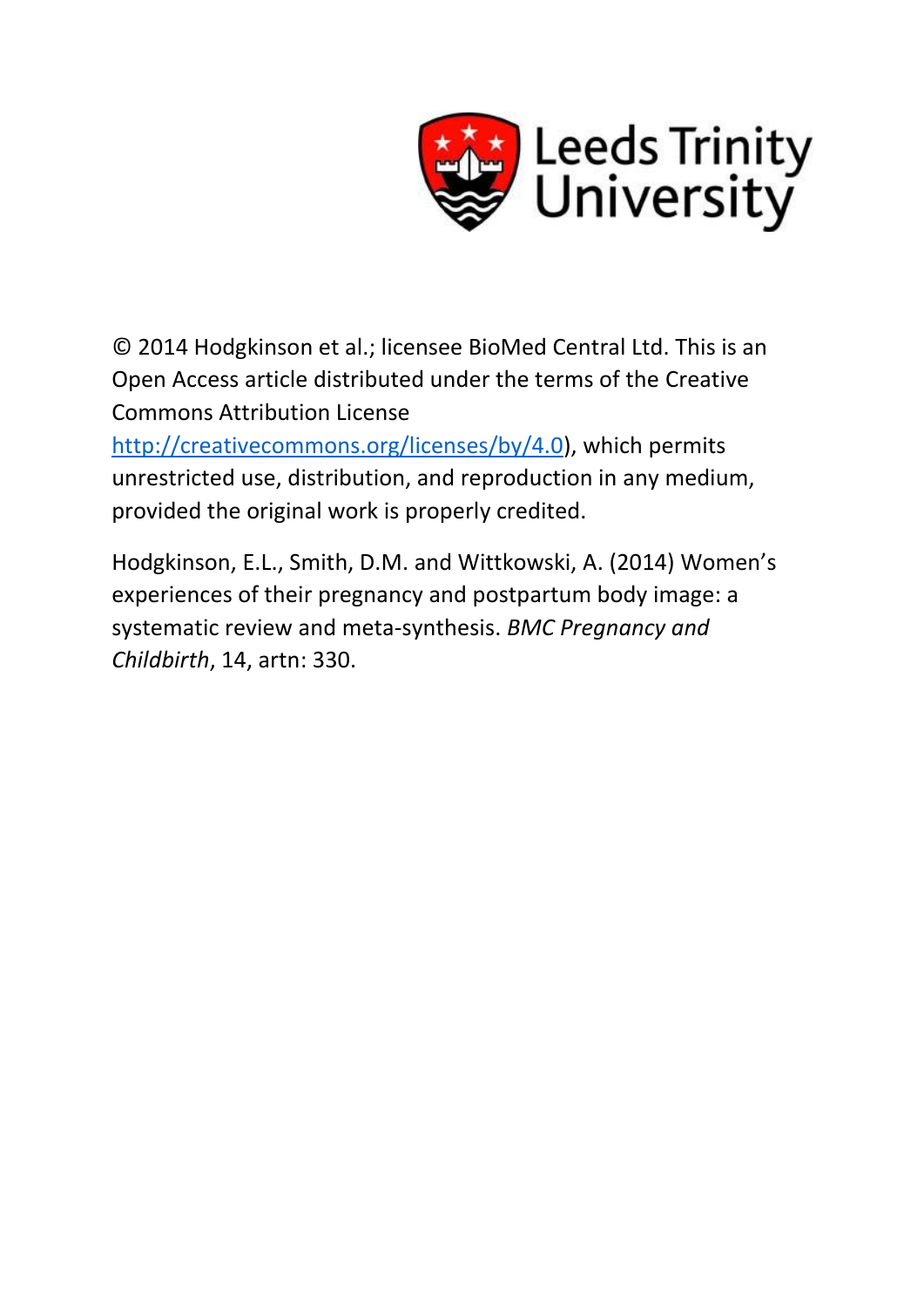

© 2014 Hodgkinson et al.; licensee BioMed Central Ltd. This is an Open Access article distributed under the terms of the Creative Commons Attribution License

[http://creativecommons.org/licenses/by/4.0\)](http://creativecommons.org/licenses/by/4.0), which permits unrestricted use, distribution, and reproduction in any medium, provided the original work is properly credited.

Hodgkinson, E.L., Smith, D.M. and Wittkowski, A. (2014) Women's experiences of their pregnancy and postpartum body image: a systematic review and meta-synthesis. *BMC Pregnancy and Childbirth*, 14, artn: 330.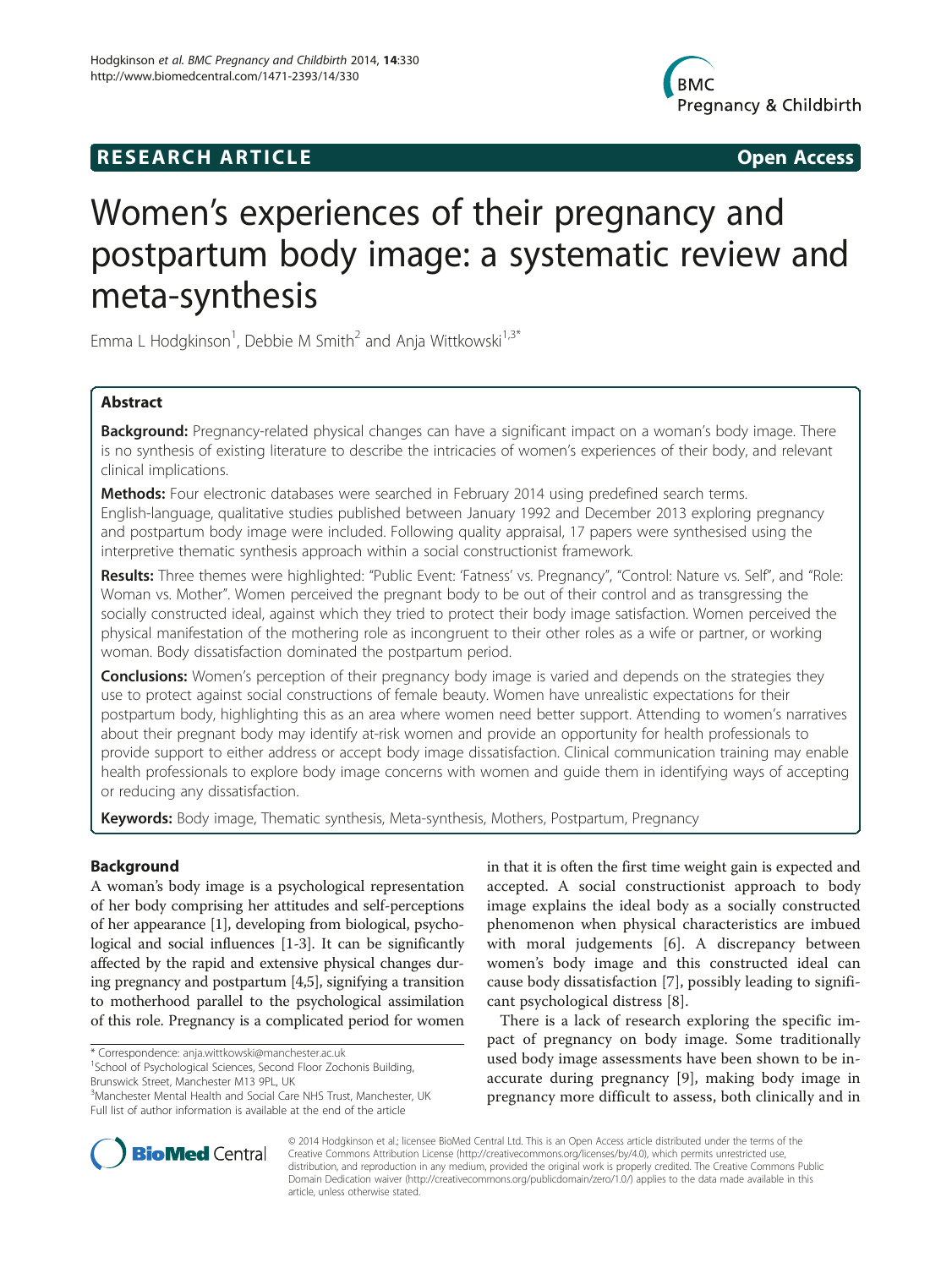## **RESEARCH ARTICLE Example 2014 CONSIDERING CONSIDERING CONSIDERING CONSIDERING CONSIDERING CONSIDERING CONSIDERING CONSIDERING CONSIDERING CONSIDERING CONSIDERING CONSIDERING CONSIDERING CONSIDERING CONSIDERING CONSIDE**



# Women's experiences of their pregnancy and postpartum body image: a systematic review and meta-synthesis

Emma L Hodgkinson<sup>1</sup>, Debbie M Smith<sup>2</sup> and Anja Wittkowski<sup>1,3\*</sup>

### Abstract

Background: Pregnancy-related physical changes can have a significant impact on a woman's body image. There is no synthesis of existing literature to describe the intricacies of women's experiences of their body, and relevant clinical implications.

Methods: Four electronic databases were searched in February 2014 using predefined search terms. English-language, qualitative studies published between January 1992 and December 2013 exploring pregnancy and postpartum body image were included. Following quality appraisal, 17 papers were synthesised using the interpretive thematic synthesis approach within a social constructionist framework.

Results: Three themes were highlighted: "Public Event: 'Fatness' vs. Pregnancy", "Control: Nature vs. Self", and "Role: Woman vs. Mother". Women perceived the pregnant body to be out of their control and as transgressing the socially constructed ideal, against which they tried to protect their body image satisfaction. Women perceived the physical manifestation of the mothering role as incongruent to their other roles as a wife or partner, or working woman. Body dissatisfaction dominated the postpartum period.

**Conclusions:** Women's perception of their pregnancy body image is varied and depends on the strategies they use to protect against social constructions of female beauty. Women have unrealistic expectations for their postpartum body, highlighting this as an area where women need better support. Attending to women's narratives about their pregnant body may identify at-risk women and provide an opportunity for health professionals to provide support to either address or accept body image dissatisfaction. Clinical communication training may enable health professionals to explore body image concerns with women and guide them in identifying ways of accepting or reducing any dissatisfaction.

Keywords: Body image, Thematic synthesis, Meta-synthesis, Mothers, Postpartum, Pregnancy

#### **Background**

A woman's body image is a psychological representation of her body comprising her attitudes and self-perceptions of her appearance [[1](#page-10-0)], developing from biological, psychological and social influences [[1-3](#page-10-0)]. It can be significantly affected by the rapid and extensive physical changes during pregnancy and postpartum [\[4,5\]](#page-10-0), signifying a transition to motherhood parallel to the psychological assimilation of this role. Pregnancy is a complicated period for women

\* Correspondence: [anja.wittkowski@manchester.ac.uk](mailto:anja.wittkowski@manchester.ac.uk) <sup>1</sup>

in that it is often the first time weight gain is expected and accepted. A social constructionist approach to body image explains the ideal body as a socially constructed phenomenon when physical characteristics are imbued with moral judgements [\[6](#page-10-0)]. A discrepancy between women's body image and this constructed ideal can cause body dissatisfaction [\[7](#page-10-0)], possibly leading to significant psychological distress [\[8](#page-10-0)].

There is a lack of research exploring the specific impact of pregnancy on body image. Some traditionally used body image assessments have been shown to be inaccurate during pregnancy [[9\]](#page-10-0), making body image in pregnancy more difficult to assess, both clinically and in



© 2014 Hodgkinson et al.; licensee BioMed Central Ltd. This is an Open Access article distributed under the terms of the Creative Commons Attribution License (<http://creativecommons.org/licenses/by/4.0>), which permits unrestricted use, distribution, and reproduction in any medium, provided the original work is properly credited. The Creative Commons Public Domain Dedication waiver [\(http://creativecommons.org/publicdomain/zero/1.0/\)](http://creativecommons.org/publicdomain/zero/1.0/) applies to the data made available in this article, unless otherwise stated.

<sup>&</sup>lt;sup>1</sup>School of Psychological Sciences, Second Floor Zochonis Building, Brunswick Street, Manchester M13 9PL, UK

<sup>&</sup>lt;sup>3</sup>Manchester Mental Health and Social Care NHS Trust, Manchester, UK Full list of author information is available at the end of the article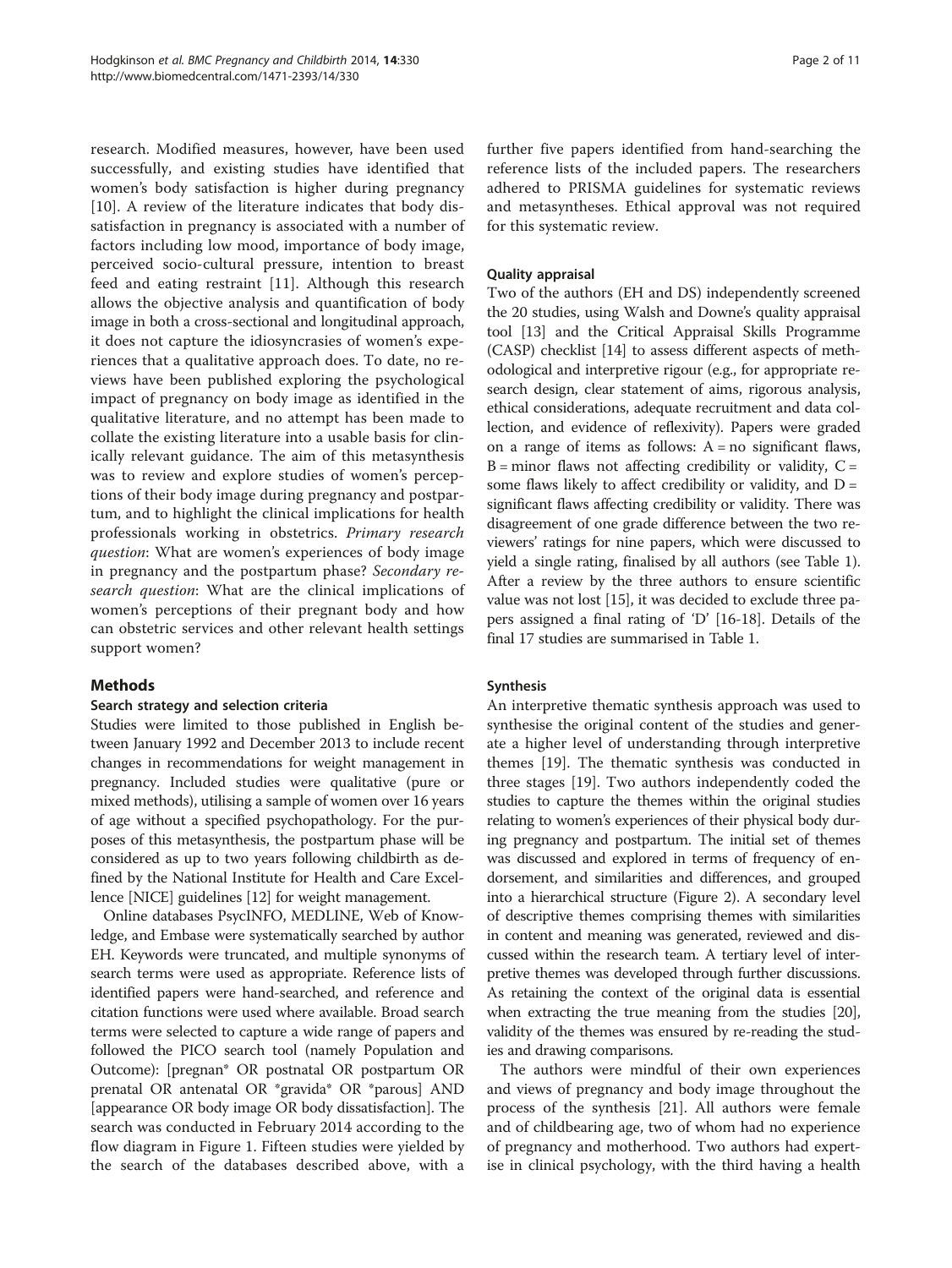research. Modified measures, however, have been used successfully, and existing studies have identified that women's body satisfaction is higher during pregnancy [[10\]](#page-10-0). A review of the literature indicates that body dissatisfaction in pregnancy is associated with a number of factors including low mood, importance of body image, perceived socio-cultural pressure, intention to breast feed and eating restraint [[11\]](#page-10-0). Although this research allows the objective analysis and quantification of body image in both a cross-sectional and longitudinal approach, it does not capture the idiosyncrasies of women's experiences that a qualitative approach does. To date, no reviews have been published exploring the psychological impact of pregnancy on body image as identified in the qualitative literature, and no attempt has been made to collate the existing literature into a usable basis for clinically relevant guidance. The aim of this metasynthesis was to review and explore studies of women's perceptions of their body image during pregnancy and postpartum, and to highlight the clinical implications for health professionals working in obstetrics. Primary research question: What are women's experiences of body image in pregnancy and the postpartum phase? Secondary research question: What are the clinical implications of women's perceptions of their pregnant body and how can obstetric services and other relevant health settings support women?

#### Methods

#### Search strategy and selection criteria

Studies were limited to those published in English between January 1992 and December 2013 to include recent changes in recommendations for weight management in pregnancy. Included studies were qualitative (pure or mixed methods), utilising a sample of women over 16 years of age without a specified psychopathology. For the purposes of this metasynthesis, the postpartum phase will be considered as up to two years following childbirth as defined by the National Institute for Health and Care Excellence [NICE] guidelines [\[12\]](#page-10-0) for weight management.

Online databases PsycINFO, MEDLINE, Web of Knowledge, and Embase were systematically searched by author EH. Keywords were truncated, and multiple synonyms of search terms were used as appropriate. Reference lists of identified papers were hand-searched, and reference and citation functions were used where available. Broad search terms were selected to capture a wide range of papers and followed the PICO search tool (namely Population and Outcome): [pregnan\* OR postnatal OR postpartum OR prenatal OR antenatal OR \*gravida\* OR \*parous] AND [appearance OR body image OR body dissatisfaction]. The search was conducted in February 2014 according to the flow diagram in Figure [1.](#page-3-0) Fifteen studies were yielded by the search of the databases described above, with a

further five papers identified from hand-searching the reference lists of the included papers. The researchers adhered to PRISMA guidelines for systematic reviews and metasyntheses. Ethical approval was not required for this systematic review.

#### Quality appraisal

Two of the authors (EH and DS) independently screened the 20 studies, using Walsh and Downe's quality appraisal tool [\[13\]](#page-10-0) and the Critical Appraisal Skills Programme (CASP) checklist [[14](#page-10-0)] to assess different aspects of methodological and interpretive rigour (e.g., for appropriate research design, clear statement of aims, rigorous analysis, ethical considerations, adequate recruitment and data collection, and evidence of reflexivity). Papers were graded on a range of items as follows:  $A = no$  significant flaws,  $B =$  minor flaws not affecting credibility or validity,  $C =$ some flaws likely to affect credibility or validity, and  $D =$ significant flaws affecting credibility or validity. There was disagreement of one grade difference between the two reviewers' ratings for nine papers, which were discussed to yield a single rating, finalised by all authors (see Table [1](#page-4-0)). After a review by the three authors to ensure scientific value was not lost [[15](#page-10-0)], it was decided to exclude three papers assigned a final rating of 'D' [[16](#page-10-0)-[18](#page-10-0)]. Details of the final 17 studies are summarised in Table [1.](#page-4-0)

#### Synthesis

An interpretive thematic synthesis approach was used to synthesise the original content of the studies and generate a higher level of understanding through interpretive themes [[19\]](#page-10-0). The thematic synthesis was conducted in three stages [[19](#page-10-0)]. Two authors independently coded the studies to capture the themes within the original studies relating to women's experiences of their physical body during pregnancy and postpartum. The initial set of themes was discussed and explored in terms of frequency of endorsement, and similarities and differences, and grouped into a hierarchical structure (Figure [2\)](#page-6-0). A secondary level of descriptive themes comprising themes with similarities in content and meaning was generated, reviewed and discussed within the research team. A tertiary level of interpretive themes was developed through further discussions. As retaining the context of the original data is essential when extracting the true meaning from the studies [[20](#page-10-0)], validity of the themes was ensured by re-reading the studies and drawing comparisons.

The authors were mindful of their own experiences and views of pregnancy and body image throughout the process of the synthesis [\[21\]](#page-11-0). All authors were female and of childbearing age, two of whom had no experience of pregnancy and motherhood. Two authors had expertise in clinical psychology, with the third having a health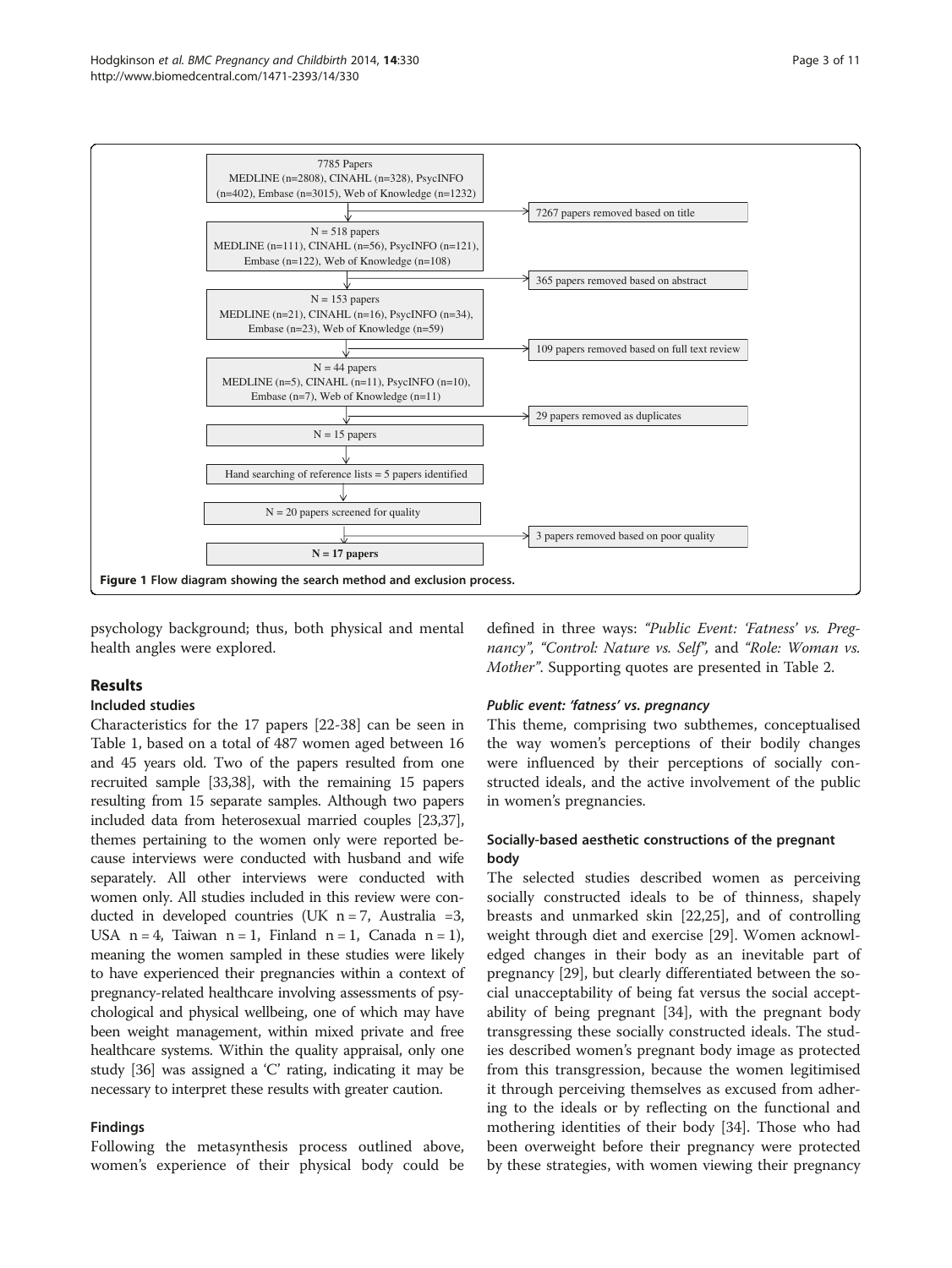<span id="page-3-0"></span>

psychology background; thus, both physical and mental health angles were explored.

#### Results

#### Included studies

Characteristics for the 17 papers [[22-38\]](#page-11-0) can be seen in Table [1,](#page-4-0) based on a total of 487 women aged between 16 and 45 years old. Two of the papers resulted from one recruited sample [\[33,38](#page-11-0)], with the remaining 15 papers resulting from 15 separate samples. Although two papers included data from heterosexual married couples [\[23,37](#page-11-0)], themes pertaining to the women only were reported because interviews were conducted with husband and wife separately. All other interviews were conducted with women only. All studies included in this review were conducted in developed countries (UK  $n = 7$ , Australia =3, USA  $n = 4$ , Taiwan  $n = 1$ , Finland  $n = 1$ , Canada  $n = 1$ ), meaning the women sampled in these studies were likely to have experienced their pregnancies within a context of pregnancy-related healthcare involving assessments of psychological and physical wellbeing, one of which may have been weight management, within mixed private and free healthcare systems. Within the quality appraisal, only one study [[36](#page-11-0)] was assigned a 'C' rating, indicating it may be necessary to interpret these results with greater caution.

#### Findings

Following the metasynthesis process outlined above, women's experience of their physical body could be

defined in three ways: "Public Event: 'Fatness' vs. Pregnancy", "Control: Nature vs. Self", and "Role: Woman vs. Mother". Supporting quotes are presented in Table [2](#page-7-0).

#### Public event: 'fatness' vs. pregnancy

This theme, comprising two subthemes, conceptualised the way women's perceptions of their bodily changes were influenced by their perceptions of socially constructed ideals, and the active involvement of the public in women's pregnancies.

#### Socially-based aesthetic constructions of the pregnant body

The selected studies described women as perceiving socially constructed ideals to be of thinness, shapely breasts and unmarked skin [\[22,25\]](#page-11-0), and of controlling weight through diet and exercise [[29](#page-11-0)]. Women acknowledged changes in their body as an inevitable part of pregnancy [[29\]](#page-11-0), but clearly differentiated between the social unacceptability of being fat versus the social acceptability of being pregnant [[34\]](#page-11-0), with the pregnant body transgressing these socially constructed ideals. The studies described women's pregnant body image as protected from this transgression, because the women legitimised it through perceiving themselves as excused from adhering to the ideals or by reflecting on the functional and mothering identities of their body [\[34](#page-11-0)]. Those who had been overweight before their pregnancy were protected by these strategies, with women viewing their pregnancy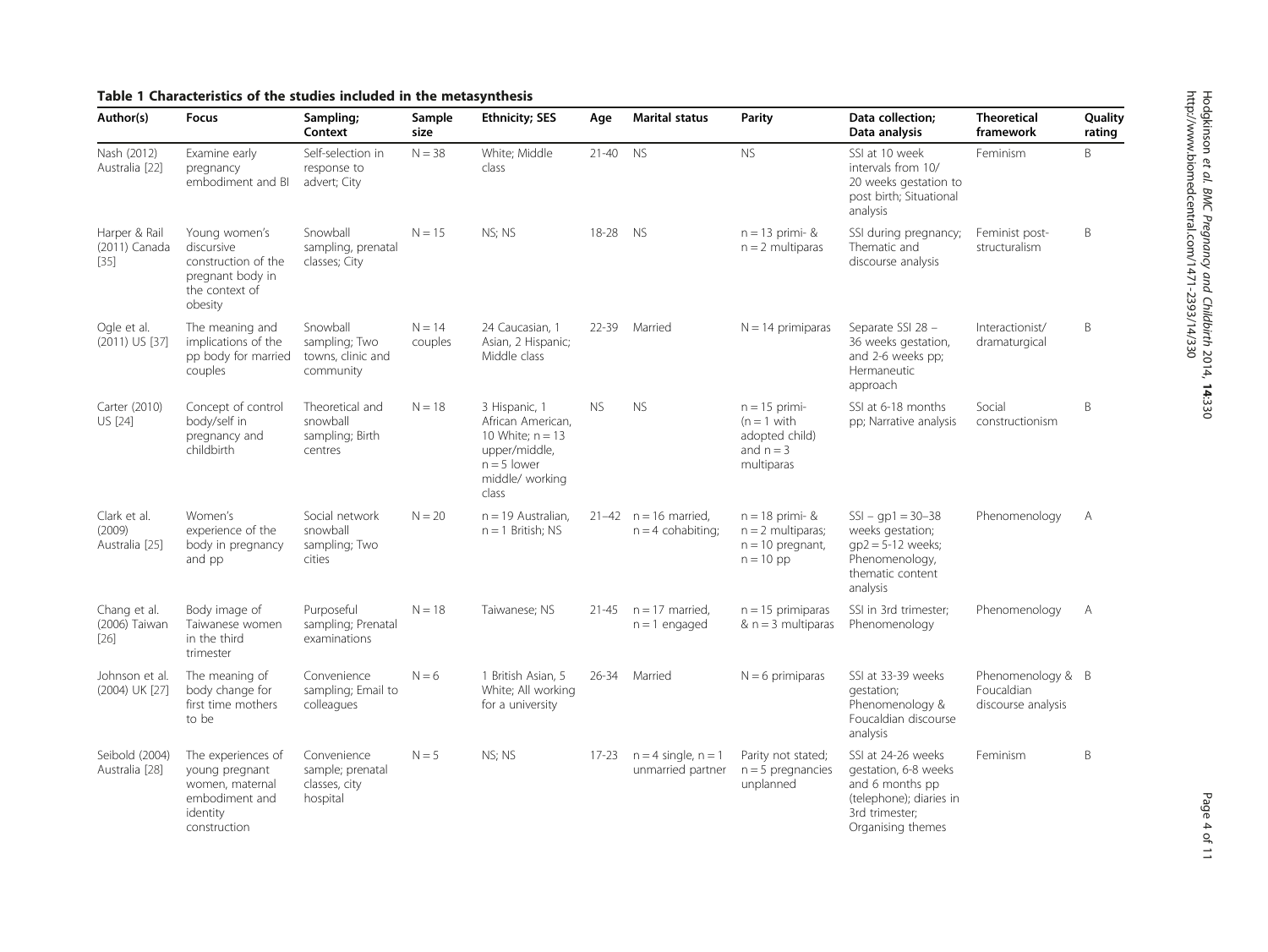| Author(s)                                | <b>Focus</b>                                                                                          | Sampling;<br>Context                                         | Sample<br>size      | <b>Ethnicity; SES</b>                                                                                                  | Age       | <b>Marital status</b>                          | <b>Parity</b>                                                                   | Data collection;<br>Data analysis                                                                                               | <b>Theoretical</b><br>framework                       | Quality<br>rating |
|------------------------------------------|-------------------------------------------------------------------------------------------------------|--------------------------------------------------------------|---------------------|------------------------------------------------------------------------------------------------------------------------|-----------|------------------------------------------------|---------------------------------------------------------------------------------|---------------------------------------------------------------------------------------------------------------------------------|-------------------------------------------------------|-------------------|
| Nash (2012)<br>Australia [22]            | Examine early<br>pregnancy<br>embodiment and BI                                                       | Self-selection in<br>response to<br>advert; City             | $N = 38$            | White; Middle<br>class                                                                                                 | $21 - 40$ | <b>NS</b>                                      | <b>NS</b>                                                                       | SSI at 10 week<br>intervals from 10/<br>20 weeks gestation to<br>post birth; Situational<br>analysis                            | Feminism                                              | B                 |
| Harper & Rail<br>(2011) Canada<br>$[35]$ | Young women's<br>discursive<br>construction of the<br>pregnant body in<br>the context of<br>obesity   | Snowball<br>sampling, prenatal<br>classes; City              | $N = 15$            | NS; NS                                                                                                                 | 18-28     | <b>NS</b>                                      | $n = 13$ primi- &<br>$n = 2$ multiparas                                         | SSI during pregnancy;<br>Thematic and<br>discourse analysis                                                                     | Feminist post-<br>structuralism                       | B                 |
| Ogle et al.<br>(2011) US [37]            | The meaning and<br>implications of the<br>pp body for married<br>couples                              | Snowball<br>sampling; Two<br>towns, clinic and<br>community  | $N = 14$<br>couples | 24 Caucasian, 1<br>Asian, 2 Hispanic;<br>Middle class                                                                  | $22 - 39$ | Married                                        | $N = 14$ primiparas                                                             | Separate SSI 28 -<br>36 weeks gestation,<br>and 2-6 weeks pp;<br>Hermaneutic<br>approach                                        | Interactionist/<br>dramaturgical                      | B                 |
| Carter (2010)<br>US [24]                 | Concept of control<br>body/self in<br>pregnancy and<br>childbirth                                     | Theoretical and<br>snowball<br>sampling; Birth<br>centres    | $N = 18$            | 3 Hispanic, 1<br>African American,<br>10 White; $n = 13$<br>upper/middle,<br>$n = 5$ lower<br>middle/ working<br>class | <b>NS</b> | <b>NS</b>                                      | $n = 15$ primi-<br>$(n = 1$ with<br>adopted child)<br>and $n = 3$<br>multiparas | SSI at 6-18 months<br>pp; Narrative analysis                                                                                    | Social<br>constructionism                             | B                 |
| Clark et al.<br>(2009)<br>Australia [25] | Women's<br>experience of the<br>body in pregnancy<br>and pp                                           | Social network<br>snowball<br>sampling; Two<br>cities        | $N = 20$            | $n = 19$ Australian,<br>$n = 1$ British; NS                                                                            |           | $21-42$ n = 16 married,<br>$n = 4$ cohabiting; | $n = 18$ primi- &<br>$n = 2$ multiparas;<br>$n = 10$ pregnant,<br>$n = 10$ pp   | $SSI - qp1 = 30-38$<br>weeks gestation;<br>$qp2 = 5-12$ weeks;<br>Phenomenology,<br>thematic content<br>analysis                | Phenomenology                                         | Α                 |
| Chang et al.<br>(2006) Taiwan<br>$[26]$  | Body image of<br>Taiwanese women<br>in the third<br>trimester                                         | Purposeful<br>sampling; Prenatal<br>examinations             | $N = 18$            | Taiwanese; NS                                                                                                          | 21-45     | $n = 17$ married,<br>$n = 1$ engaged           | $n = 15$ primiparas<br>& $n = 3$ multiparas                                     | SSI in 3rd trimester;<br>Phenomenology                                                                                          | Phenomenology                                         | A                 |
| Johnson et al.<br>(2004) UK [27]         | The meaning of<br>body change for<br>first time mothers<br>to be                                      | Convenience<br>sampling; Email to<br>colleagues              | $N = 6$             | 1 British Asian, 5<br>White; All working<br>for a university                                                           | $26 - 34$ | Married                                        | $N = 6$ primiparas                                                              | SSI at 33-39 weeks<br>gestation;<br>Phenomenology &<br>Foucaldian discourse<br>analysis                                         | Phenomenology & B<br>Foucaldian<br>discourse analysis |                   |
| Seibold (2004)<br>Australia [28]         | The experiences of<br>young pregnant<br>women, maternal<br>embodiment and<br>identity<br>construction | Convenience<br>sample; prenatal<br>classes, city<br>hospital | $N = 5$             | NS; NS                                                                                                                 | $17 - 23$ | $n = 4$ single, $n = 1$<br>unmarried partner   | Parity not stated;<br>$n = 5$ pregnancies<br>unplanned                          | SSI at 24-26 weeks<br>gestation, 6-8 weeks<br>and 6 months pp<br>(telephone); diaries in<br>3rd trimester;<br>Organising themes | Feminism                                              | B                 |

#### <span id="page-4-0"></span>Table 1 Characteristics of the studies included in the metasynthesis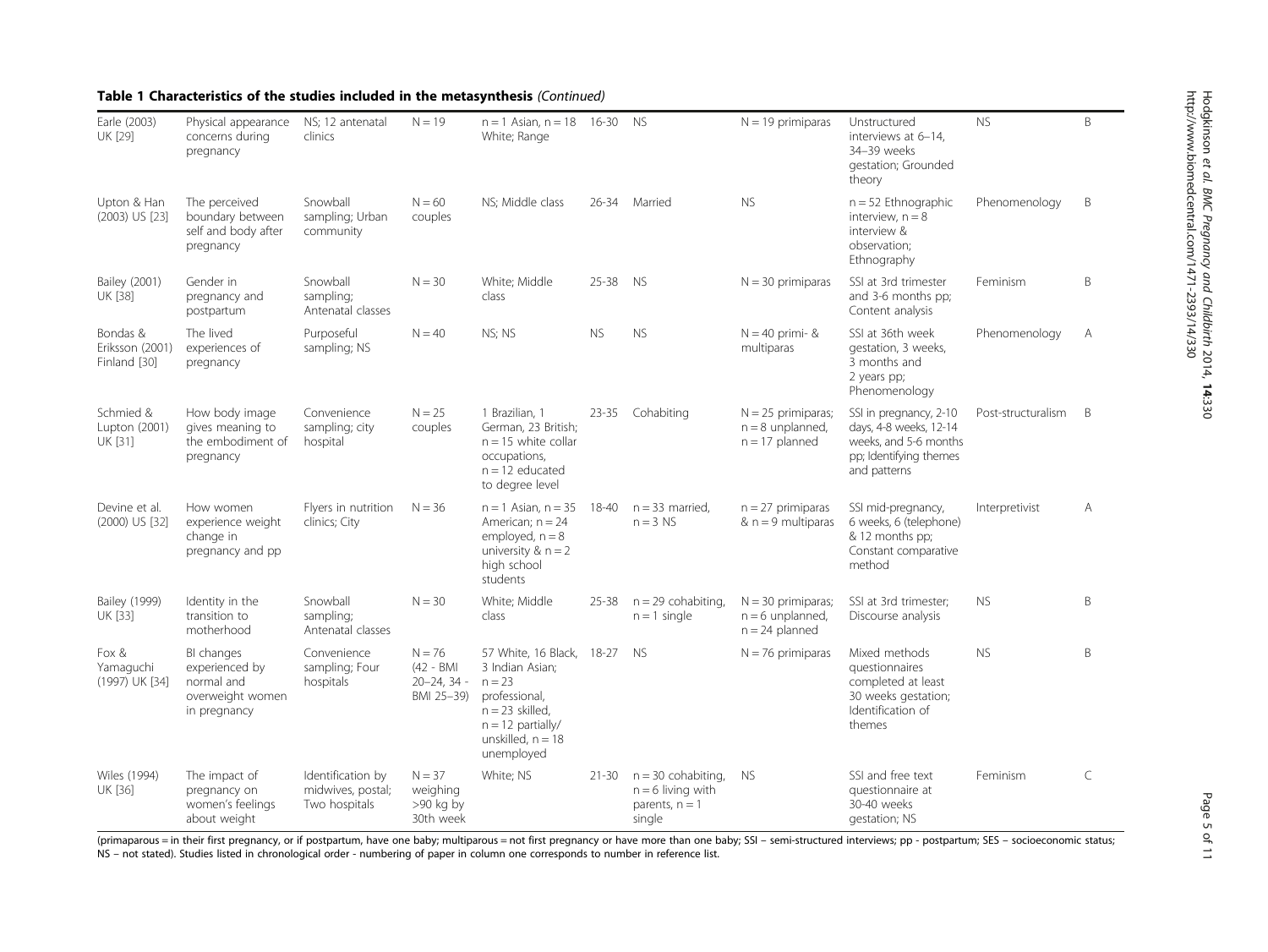| Earle (2003)<br>UK [29]                      | Physical appearance<br>concerns during<br>pregnancy                            | NS; 12 antenatal<br>clinics                             | $N = 19$                                                  | $n = 1$ Asian, $n = 18$<br>White; Range                                                                                                              | 16-30     | . NS                                                                      | $N = 19$ primiparas                                            | Unstructured<br>interviews at 6-14,<br>34-39 weeks<br>gestation; Grounded<br>theory                                 | <b>NS</b>          | B |
|----------------------------------------------|--------------------------------------------------------------------------------|---------------------------------------------------------|-----------------------------------------------------------|------------------------------------------------------------------------------------------------------------------------------------------------------|-----------|---------------------------------------------------------------------------|----------------------------------------------------------------|---------------------------------------------------------------------------------------------------------------------|--------------------|---|
| Upton & Han<br>(2003) US [23]                | The perceived<br>boundary between<br>self and body after<br>pregnancy          | Snowball<br>sampling; Urban<br>community                | $N = 60$<br>couples                                       | NS: Middle class                                                                                                                                     | $26 - 34$ | Married                                                                   | <b>NS</b>                                                      | $n = 52$ Ethnographic<br>interview, $n = 8$<br>interview &<br>observation;<br>Ethnography                           | Phenomenology      | B |
| Bailey (2001)<br>UK [38]                     | Gender in<br>pregnancy and<br>postpartum                                       | Snowball<br>sampling;<br>Antenatal classes              | $N = 30$                                                  | White; Middle<br>class                                                                                                                               | $25 - 38$ | . NS                                                                      | $N = 30$ primiparas                                            | SSI at 3rd trimester<br>and 3-6 months pp;<br>Content analysis                                                      | Feminism           | B |
| Bondas &<br>Eriksson (2001)<br>Finland [30]  | The lived<br>experiences of<br>pregnancy                                       | Purposeful<br>sampling; NS                              | $N = 40$                                                  | NS; NS                                                                                                                                               | <b>NS</b> | <b>NS</b>                                                                 | $N = 40$ primi- &<br>multiparas                                | SSI at 36th week<br>gestation, 3 weeks,<br>3 months and<br>2 years pp;<br>Phenomenology                             | Phenomenology      | A |
| Schmied &<br>Lupton (2001)<br><b>UK [31]</b> | How body image<br>gives meaning to<br>the embodiment of<br>pregnancy           | Convenience<br>sampling; city<br>hospital               | $N = 25$<br>couples                                       | 1 Brazilian, 1<br>German, 23 British;<br>$n = 15$ white collar<br>occupations,<br>$n = 12$ educated<br>to degree level                               | $23 - 35$ | Cohabiting                                                                | $N = 25$ primiparas;<br>$n = 8$ unplanned,<br>$n = 17$ planned | SSI in pregnancy, 2-10<br>days, 4-8 weeks, 12-14<br>weeks, and 5-6 months<br>pp; Identifying themes<br>and patterns | Post-structuralism | B |
| Devine et al.<br>$(2000)$ US $[32]$          | How women<br>experience weight<br>change in<br>pregnancy and pp                | Flyers in nutrition<br>clinics; City                    | $N = 36$                                                  | $n = 1$ Asian, $n = 35$<br>American; $n = 24$<br>employed, $n = 8$<br>university $& n = 2$<br>high school<br>students                                | 18-40     | $n = 33$ married,<br>$n = 3$ NS                                           | $n = 27$ primiparas<br>& $n = 9$ multiparas                    | SSI mid-pregnancy,<br>6 weeks, 6 (telephone)<br>& 12 months pp;<br>Constant comparative<br>method                   | Interpretivist     | Α |
| Bailey (1999)<br>UK [33]                     | Identity in the<br>transition to<br>motherhood                                 | Snowball<br>sampling;<br>Antenatal classes              | $N = 30$                                                  | White; Middle<br>class                                                                                                                               | $25 - 38$ | $n = 29$ cohabiting,<br>$n = 1$ single                                    | $N = 30$ primiparas;<br>$n = 6$ unplanned,<br>$n = 24$ planned | SSI at 3rd trimester;<br>Discourse analysis                                                                         | <b>NS</b>          | B |
| Fox &<br>Yamaguchi<br>(1997) UK [34]         | BI changes<br>experienced by<br>normal and<br>overweight women<br>in pregnancy | Convenience<br>sampling; Four<br>hospitals              | $N = 76$<br>$(42 - BM)$<br>$20 - 24$ , 34 -<br>BMI 25-39) | 57 White, 16 Black,<br>3 Indian Asian;<br>$n = 23$<br>professional,<br>$n = 23$ skilled,<br>$n = 12$ partially/<br>unskilled, $n = 18$<br>unemployed | 18-27     | <b>NS</b>                                                                 | $N = 76$ primiparas                                            | Mixed methods<br>questionnaires<br>completed at least<br>30 weeks gestation;<br>Identification of<br>themes         | <b>NS</b>          | B |
| Wiles (1994)<br>UK [36]                      | The impact of<br>pregnancy on<br>women's feelings<br>about weight              | Identification by<br>midwives, postal;<br>Two hospitals | $N = 37$<br>weighing<br>$>90$ kg by<br>30th week          | White; NS                                                                                                                                            | $21 - 30$ | $n = 30$ cohabiting,<br>$n = 6$ living with<br>parents, $n = 1$<br>single | NS.                                                            | SSI and free text<br>questionnaire at<br>30-40 weeks<br>gestation; NS                                               | Feminism           | C |

#### Table 1 Characteristics of the studies included in the metasynthesis (Continued)

(primaparous = in their first pregnancy, or if postpartum, have one baby; multiparous = not first pregnancy or have more than one baby; SSI – semi-structured interviews; pp - postpartum; SES – socioeconomic status; NS – not stated). Studies listed in chronological order - numbering of paper in column one corresponds to number in reference list.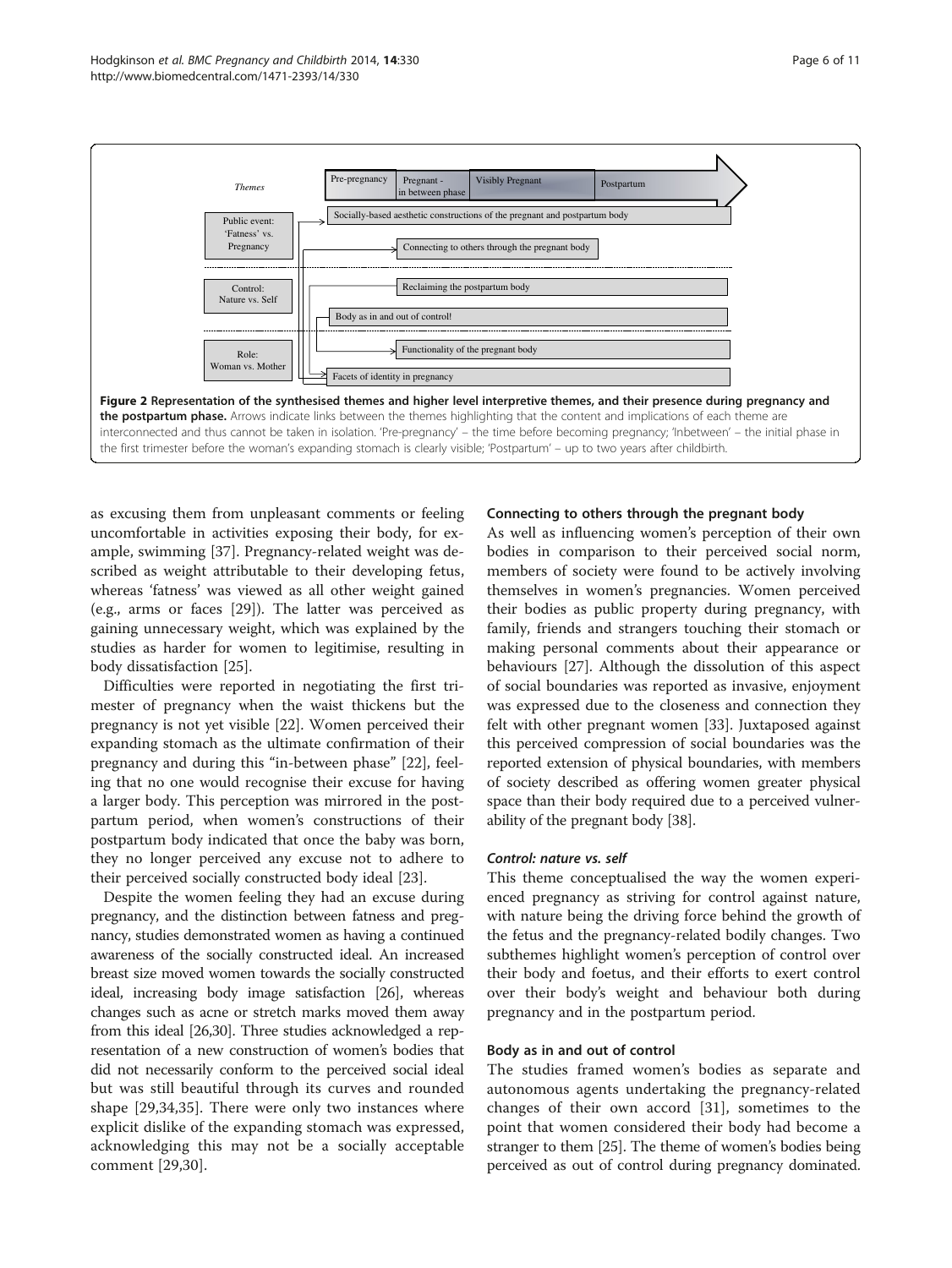<span id="page-6-0"></span>

as excusing them from unpleasant comments or feeling uncomfortable in activities exposing their body, for example, swimming [[37\]](#page-11-0). Pregnancy-related weight was described as weight attributable to their developing fetus, whereas 'fatness' was viewed as all other weight gained (e.g., arms or faces [\[29](#page-11-0)]). The latter was perceived as gaining unnecessary weight, which was explained by the studies as harder for women to legitimise, resulting in body dissatisfaction [[25\]](#page-11-0).

Difficulties were reported in negotiating the first trimester of pregnancy when the waist thickens but the pregnancy is not yet visible [\[22\]](#page-11-0). Women perceived their expanding stomach as the ultimate confirmation of their pregnancy and during this "in-between phase" [\[22](#page-11-0)], feeling that no one would recognise their excuse for having a larger body. This perception was mirrored in the postpartum period, when women's constructions of their postpartum body indicated that once the baby was born, they no longer perceived any excuse not to adhere to their perceived socially constructed body ideal [\[23\]](#page-11-0).

Despite the women feeling they had an excuse during pregnancy, and the distinction between fatness and pregnancy, studies demonstrated women as having a continued awareness of the socially constructed ideal. An increased breast size moved women towards the socially constructed ideal, increasing body image satisfaction [[26](#page-11-0)], whereas changes such as acne or stretch marks moved them away from this ideal [\[26,30](#page-11-0)]. Three studies acknowledged a representation of a new construction of women's bodies that did not necessarily conform to the perceived social ideal but was still beautiful through its curves and rounded shape [\[29,34,35\]](#page-11-0). There were only two instances where explicit dislike of the expanding stomach was expressed, acknowledging this may not be a socially acceptable comment [[29,30](#page-11-0)].

#### Connecting to others through the pregnant body

As well as influencing women's perception of their own bodies in comparison to their perceived social norm, members of society were found to be actively involving themselves in women's pregnancies. Women perceived their bodies as public property during pregnancy, with family, friends and strangers touching their stomach or making personal comments about their appearance or behaviours [[27\]](#page-11-0). Although the dissolution of this aspect of social boundaries was reported as invasive, enjoyment was expressed due to the closeness and connection they felt with other pregnant women [[33\]](#page-11-0). Juxtaposed against this perceived compression of social boundaries was the reported extension of physical boundaries, with members of society described as offering women greater physical space than their body required due to a perceived vulnerability of the pregnant body [[38](#page-11-0)].

#### Control: nature vs. self

This theme conceptualised the way the women experienced pregnancy as striving for control against nature, with nature being the driving force behind the growth of the fetus and the pregnancy-related bodily changes. Two subthemes highlight women's perception of control over their body and foetus, and their efforts to exert control over their body's weight and behaviour both during pregnancy and in the postpartum period.

#### Body as in and out of control

The studies framed women's bodies as separate and autonomous agents undertaking the pregnancy-related changes of their own accord [[31](#page-11-0)], sometimes to the point that women considered their body had become a stranger to them [\[25\]](#page-11-0). The theme of women's bodies being perceived as out of control during pregnancy dominated.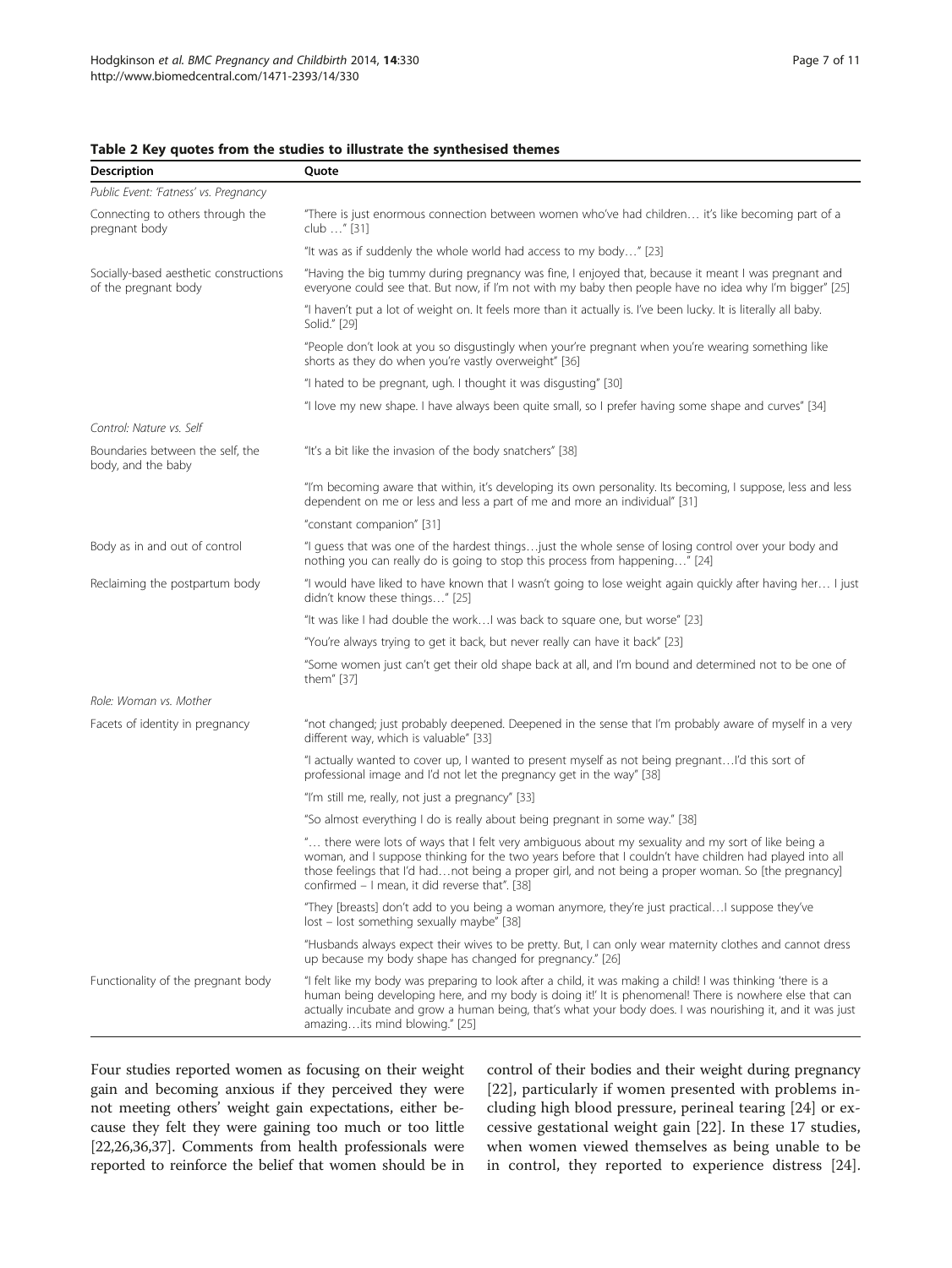| <b>Description</b>                                             | Quote                                                                                                                                                                                                                                                                                                                                                                     |  |  |  |  |
|----------------------------------------------------------------|---------------------------------------------------------------------------------------------------------------------------------------------------------------------------------------------------------------------------------------------------------------------------------------------------------------------------------------------------------------------------|--|--|--|--|
| Public Event: 'Fatness' vs. Pregnancy                          |                                                                                                                                                                                                                                                                                                                                                                           |  |  |  |  |
| Connecting to others through the<br>pregnant body              | "There is just enormous connection between women who've had children it's like becoming part of a<br>club " [31]                                                                                                                                                                                                                                                          |  |  |  |  |
|                                                                | "It was as if suddenly the whole world had access to my body" [23]                                                                                                                                                                                                                                                                                                        |  |  |  |  |
| Socially-based aesthetic constructions<br>of the pregnant body | "Having the big tummy during pregnancy was fine, I enjoyed that, because it meant I was pregnant and<br>everyone could see that. But now, if I'm not with my baby then people have no idea why I'm bigger" [25]                                                                                                                                                           |  |  |  |  |
|                                                                | "I haven't put a lot of weight on. It feels more than it actually is. I've been lucky. It is literally all baby.<br>Solid." [29]                                                                                                                                                                                                                                          |  |  |  |  |
|                                                                | "People don't look at you so disgustingly when your're pregnant when you're wearing something like<br>shorts as they do when you're vastly overweight" [36]                                                                                                                                                                                                               |  |  |  |  |
|                                                                | "I hated to be pregnant, ugh. I thought it was disgusting" [30]                                                                                                                                                                                                                                                                                                           |  |  |  |  |
|                                                                | "I love my new shape. I have always been quite small, so I prefer having some shape and curves" [34]                                                                                                                                                                                                                                                                      |  |  |  |  |
| Control: Nature vs. Self                                       |                                                                                                                                                                                                                                                                                                                                                                           |  |  |  |  |
| Boundaries between the self, the<br>body, and the baby         | "It's a bit like the invasion of the body snatchers" [38]                                                                                                                                                                                                                                                                                                                 |  |  |  |  |
|                                                                | "I'm becoming aware that within, it's developing its own personality. Its becoming, I suppose, less and less<br>dependent on me or less and less a part of me and more an individual" [31]                                                                                                                                                                                |  |  |  |  |
|                                                                | "constant companion" [31]                                                                                                                                                                                                                                                                                                                                                 |  |  |  |  |
| Body as in and out of control                                  | "I guess that was one of the hardest thingsjust the whole sense of losing control over your body and<br>nothing you can really do is going to stop this process from happening" [24]                                                                                                                                                                                      |  |  |  |  |
| Reclaiming the postpartum body                                 | "I would have liked to have known that I wasn't going to lose weight again quickly after having her I just<br>didn't know these things" [25]                                                                                                                                                                                                                              |  |  |  |  |
|                                                                | "It was like I had double the workI was back to square one, but worse" [23]                                                                                                                                                                                                                                                                                               |  |  |  |  |
|                                                                | "You're always trying to get it back, but never really can have it back" [23]                                                                                                                                                                                                                                                                                             |  |  |  |  |
|                                                                | "Some women just can't get their old shape back at all, and I'm bound and determined not to be one of<br>them" [37]                                                                                                                                                                                                                                                       |  |  |  |  |
| Role: Woman vs. Mother                                         |                                                                                                                                                                                                                                                                                                                                                                           |  |  |  |  |
| Facets of identity in pregnancy                                | "not changed; just probably deepened. Deepened in the sense that I'm probably aware of myself in a very<br>different way, which is valuable" [33]                                                                                                                                                                                                                         |  |  |  |  |
|                                                                | "I actually wanted to cover up, I wanted to present myself as not being pregnantI'd this sort of<br>professional image and I'd not let the pregnancy get in the way" [38]                                                                                                                                                                                                 |  |  |  |  |
|                                                                | "I'm still me, really, not just a pregnancy" [33]                                                                                                                                                                                                                                                                                                                         |  |  |  |  |
|                                                                | "So almost everything I do is really about being pregnant in some way." [38]                                                                                                                                                                                                                                                                                              |  |  |  |  |
|                                                                | " there were lots of ways that I felt very ambiguous about my sexuality and my sort of like being a<br>woman, and I suppose thinking for the two years before that I couldn't have children had played into all<br>those feelings that I'd hadnot being a proper girl, and not being a proper woman. So [the pregnancy]<br>confirmed – I mean, it did reverse that". [38] |  |  |  |  |
|                                                                | "They [breasts] don't add to you being a woman anymore, they're just practical I suppose they've<br>lost - lost something sexually maybe" [38]                                                                                                                                                                                                                            |  |  |  |  |
|                                                                | "Husbands always expect their wives to be pretty. But, I can only wear maternity clothes and cannot dress<br>up because my body shape has changed for pregnancy." [26]                                                                                                                                                                                                    |  |  |  |  |
| Functionality of the pregnant body                             | "I felt like my body was preparing to look after a child, it was making a child! I was thinking 'there is a<br>human being developing here, and my body is doing it!' It is phenomenal! There is nowhere else that can<br>actually incubate and grow a human being, that's what your body does. I was nourishing it, and it was just<br>amazingits mind blowing." [25]    |  |  |  |  |

#### <span id="page-7-0"></span>Table 2 Key quotes from the studies to illustrate the synthesised themes

Four studies reported women as focusing on their weight gain and becoming anxious if they perceived they were not meeting others' weight gain expectations, either because they felt they were gaining too much or too little [[22,26,36,37](#page-11-0)]. Comments from health professionals were reported to reinforce the belief that women should be in control of their bodies and their weight during pregnancy [[22\]](#page-11-0), particularly if women presented with problems including high blood pressure, perineal tearing [[24\]](#page-11-0) or excessive gestational weight gain [[22\]](#page-11-0). In these 17 studies, when women viewed themselves as being unable to be in control, they reported to experience distress [\[24](#page-11-0)].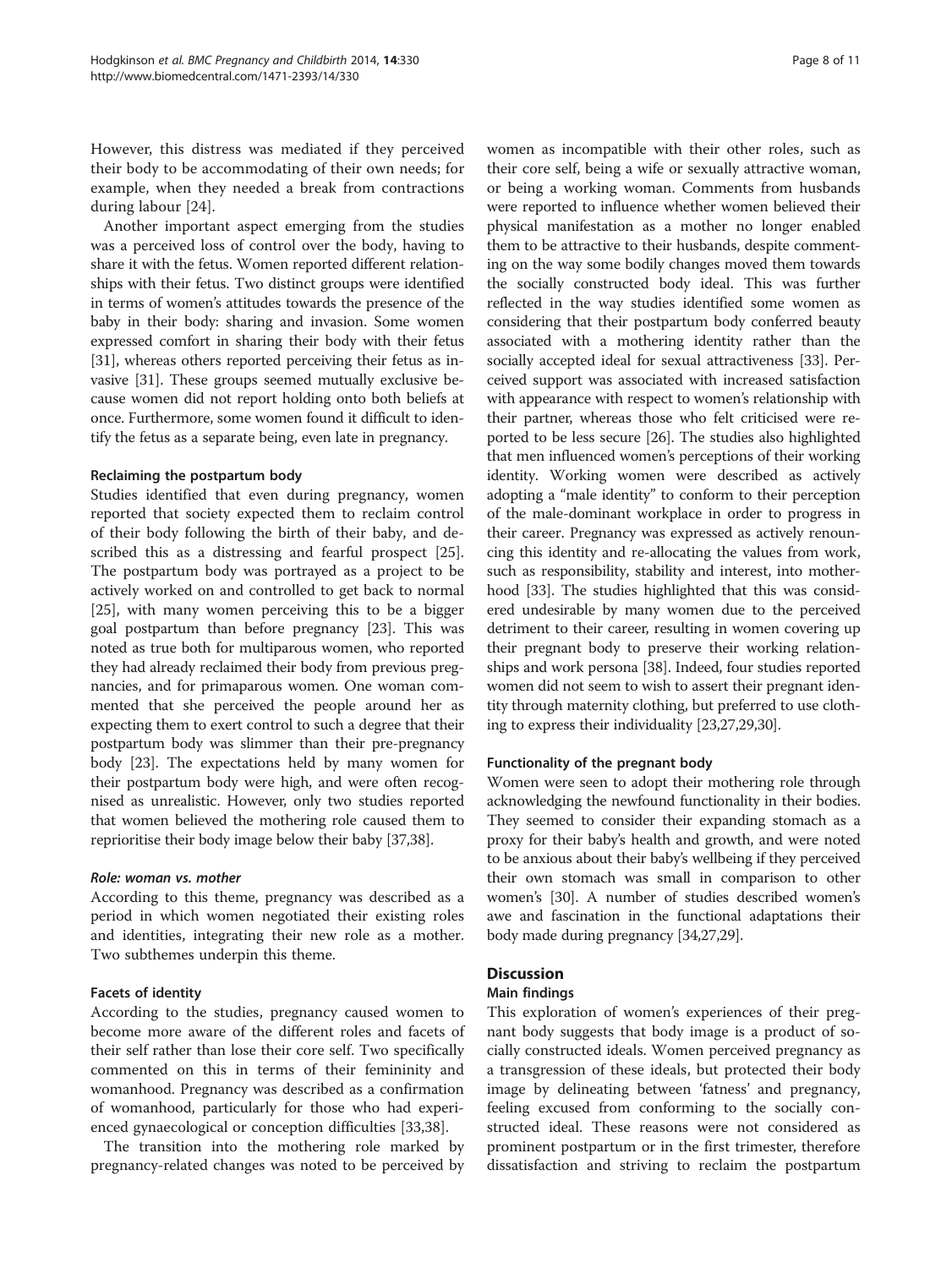However, this distress was mediated if they perceived their body to be accommodating of their own needs; for example, when they needed a break from contractions during labour [\[24](#page-11-0)].

Another important aspect emerging from the studies was a perceived loss of control over the body, having to share it with the fetus. Women reported different relationships with their fetus. Two distinct groups were identified in terms of women's attitudes towards the presence of the baby in their body: sharing and invasion. Some women expressed comfort in sharing their body with their fetus [[31](#page-11-0)], whereas others reported perceiving their fetus as invasive [\[31](#page-11-0)]. These groups seemed mutually exclusive because women did not report holding onto both beliefs at once. Furthermore, some women found it difficult to identify the fetus as a separate being, even late in pregnancy.

#### Reclaiming the postpartum body

Studies identified that even during pregnancy, women reported that society expected them to reclaim control of their body following the birth of their baby, and described this as a distressing and fearful prospect [\[25](#page-11-0)]. The postpartum body was portrayed as a project to be actively worked on and controlled to get back to normal [[25\]](#page-11-0), with many women perceiving this to be a bigger goal postpartum than before pregnancy [[23](#page-11-0)]. This was noted as true both for multiparous women, who reported they had already reclaimed their body from previous pregnancies, and for primaparous women. One woman commented that she perceived the people around her as expecting them to exert control to such a degree that their postpartum body was slimmer than their pre-pregnancy body [\[23](#page-11-0)]. The expectations held by many women for their postpartum body were high, and were often recognised as unrealistic. However, only two studies reported that women believed the mothering role caused them to reprioritise their body image below their baby [[37](#page-11-0),[38](#page-11-0)].

According to this theme, pregnancy was described as a period in which women negotiated their existing roles and identities, integrating their new role as a mother. Two subthemes underpin this theme.

#### Facets of identity

According to the studies, pregnancy caused women to become more aware of the different roles and facets of their self rather than lose their core self. Two specifically commented on this in terms of their femininity and womanhood. Pregnancy was described as a confirmation of womanhood, particularly for those who had experienced gynaecological or conception difficulties [[33,38\]](#page-11-0).

The transition into the mothering role marked by pregnancy-related changes was noted to be perceived by

women as incompatible with their other roles, such as their core self, being a wife or sexually attractive woman, or being a working woman. Comments from husbands were reported to influence whether women believed their physical manifestation as a mother no longer enabled them to be attractive to their husbands, despite commenting on the way some bodily changes moved them towards the socially constructed body ideal. This was further reflected in the way studies identified some women as considering that their postpartum body conferred beauty associated with a mothering identity rather than the socially accepted ideal for sexual attractiveness [\[33\]](#page-11-0). Perceived support was associated with increased satisfaction with appearance with respect to women's relationship with their partner, whereas those who felt criticised were reported to be less secure [\[26\]](#page-11-0). The studies also highlighted that men influenced women's perceptions of their working identity. Working women were described as actively adopting a "male identity" to conform to their perception of the male-dominant workplace in order to progress in their career. Pregnancy was expressed as actively renouncing this identity and re-allocating the values from work, such as responsibility, stability and interest, into motherhood [\[33\]](#page-11-0). The studies highlighted that this was considered undesirable by many women due to the perceived detriment to their career, resulting in women covering up their pregnant body to preserve their working relationships and work persona [\[38\]](#page-11-0). Indeed, four studies reported women did not seem to wish to assert their pregnant identity through maternity clothing, but preferred to use clothing to express their individuality [[23,27,29,30\]](#page-11-0).

#### Functionality of the pregnant body

Women were seen to adopt their mothering role through acknowledging the newfound functionality in their bodies. They seemed to consider their expanding stomach as a proxy for their baby's health and growth, and were noted to be anxious about their baby's wellbeing if they perceived their own stomach was small in comparison to other women's [\[30\]](#page-11-0). A number of studies described women's awe and fascination in the functional adaptations their body made during pregnancy [\[34,27,29\]](#page-11-0).

#### **Discussion**

#### Main findings

This exploration of women's experiences of their pregnant body suggests that body image is a product of socially constructed ideals. Women perceived pregnancy as a transgression of these ideals, but protected their body image by delineating between 'fatness' and pregnancy, feeling excused from conforming to the socially constructed ideal. These reasons were not considered as prominent postpartum or in the first trimester, therefore dissatisfaction and striving to reclaim the postpartum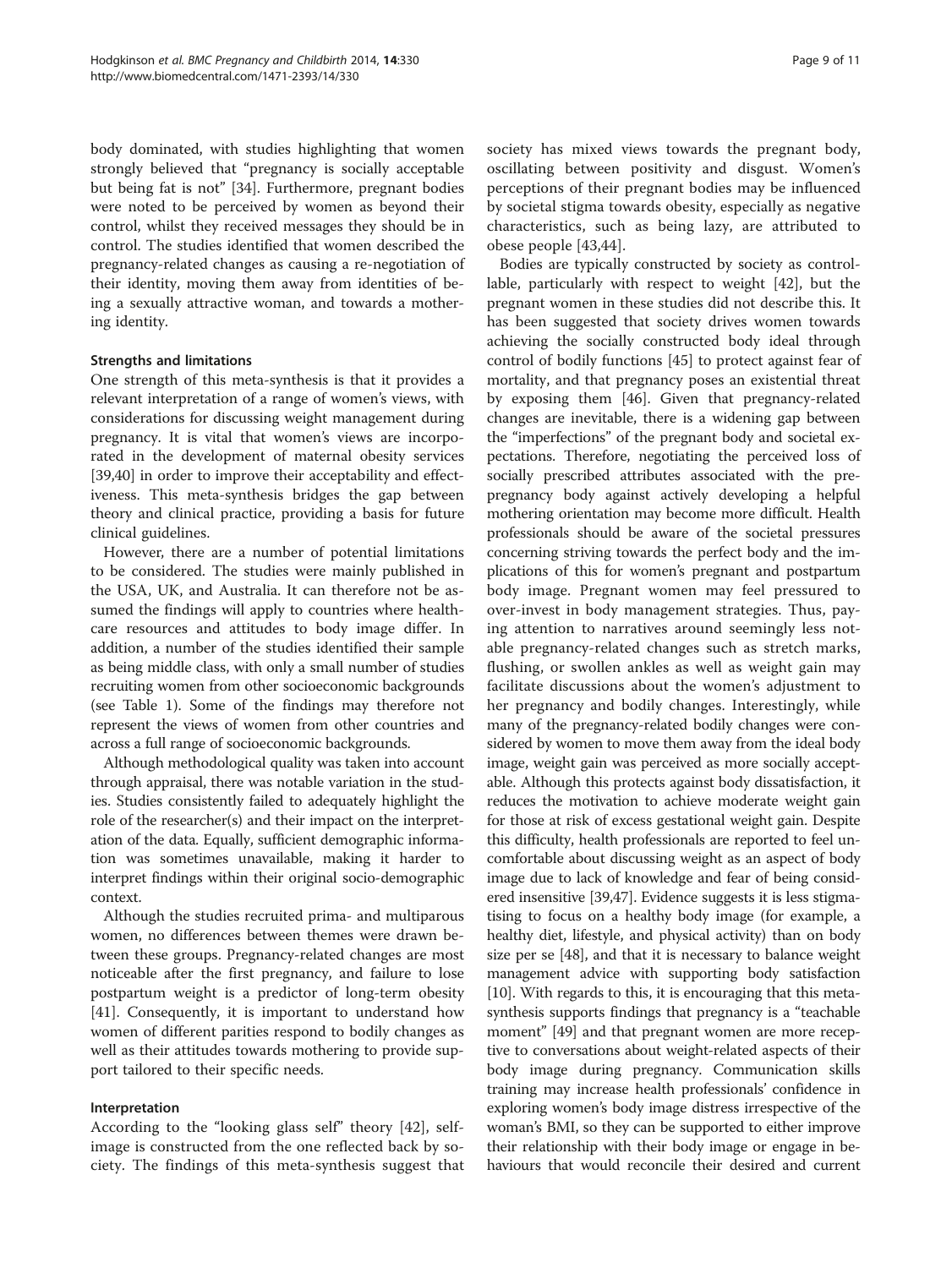body dominated, with studies highlighting that women strongly believed that "pregnancy is socially acceptable but being fat is not" [[34\]](#page-11-0). Furthermore, pregnant bodies were noted to be perceived by women as beyond their control, whilst they received messages they should be in control. The studies identified that women described the pregnancy-related changes as causing a re-negotiation of their identity, moving them away from identities of being a sexually attractive woman, and towards a mothering identity.

#### Strengths and limitations

One strength of this meta-synthesis is that it provides a relevant interpretation of a range of women's views, with considerations for discussing weight management during pregnancy. It is vital that women's views are incorporated in the development of maternal obesity services [[39,40\]](#page-11-0) in order to improve their acceptability and effectiveness. This meta-synthesis bridges the gap between theory and clinical practice, providing a basis for future clinical guidelines.

However, there are a number of potential limitations to be considered. The studies were mainly published in the USA, UK, and Australia. It can therefore not be assumed the findings will apply to countries where healthcare resources and attitudes to body image differ. In addition, a number of the studies identified their sample as being middle class, with only a small number of studies recruiting women from other socioeconomic backgrounds (see Table [1](#page-4-0)). Some of the findings may therefore not represent the views of women from other countries and across a full range of socioeconomic backgrounds.

Although methodological quality was taken into account through appraisal, there was notable variation in the studies. Studies consistently failed to adequately highlight the role of the researcher(s) and their impact on the interpretation of the data. Equally, sufficient demographic information was sometimes unavailable, making it harder to interpret findings within their original socio-demographic context.

Although the studies recruited prima- and multiparous women, no differences between themes were drawn between these groups. Pregnancy-related changes are most noticeable after the first pregnancy, and failure to lose postpartum weight is a predictor of long-term obesity [[41\]](#page-11-0). Consequently, it is important to understand how women of different parities respond to bodily changes as well as their attitudes towards mothering to provide support tailored to their specific needs.

#### Interpretation

According to the "looking glass self" theory [\[42](#page-11-0)], selfimage is constructed from the one reflected back by society. The findings of this meta-synthesis suggest that

society has mixed views towards the pregnant body, oscillating between positivity and disgust. Women's perceptions of their pregnant bodies may be influenced by societal stigma towards obesity, especially as negative characteristics, such as being lazy, are attributed to obese people [[43,44](#page-11-0)].

Bodies are typically constructed by society as controllable, particularly with respect to weight [\[42\]](#page-11-0), but the pregnant women in these studies did not describe this. It has been suggested that society drives women towards achieving the socially constructed body ideal through control of bodily functions [[45\]](#page-11-0) to protect against fear of mortality, and that pregnancy poses an existential threat by exposing them [\[46\]](#page-11-0). Given that pregnancy-related changes are inevitable, there is a widening gap between the "imperfections" of the pregnant body and societal expectations. Therefore, negotiating the perceived loss of socially prescribed attributes associated with the prepregnancy body against actively developing a helpful mothering orientation may become more difficult. Health professionals should be aware of the societal pressures concerning striving towards the perfect body and the implications of this for women's pregnant and postpartum body image. Pregnant women may feel pressured to over-invest in body management strategies. Thus, paying attention to narratives around seemingly less notable pregnancy-related changes such as stretch marks, flushing, or swollen ankles as well as weight gain may facilitate discussions about the women's adjustment to her pregnancy and bodily changes. Interestingly, while many of the pregnancy-related bodily changes were considered by women to move them away from the ideal body image, weight gain was perceived as more socially acceptable. Although this protects against body dissatisfaction, it reduces the motivation to achieve moderate weight gain for those at risk of excess gestational weight gain. Despite this difficulty, health professionals are reported to feel uncomfortable about discussing weight as an aspect of body image due to lack of knowledge and fear of being considered insensitive [\[39,47](#page-11-0)]. Evidence suggests it is less stigmatising to focus on a healthy body image (for example, a healthy diet, lifestyle, and physical activity) than on body size per se [\[48\]](#page-11-0), and that it is necessary to balance weight management advice with supporting body satisfaction [[10](#page-10-0)]. With regards to this, it is encouraging that this metasynthesis supports findings that pregnancy is a "teachable moment" [[49](#page-11-0)] and that pregnant women are more receptive to conversations about weight-related aspects of their body image during pregnancy. Communication skills training may increase health professionals' confidence in exploring women's body image distress irrespective of the woman's BMI, so they can be supported to either improve their relationship with their body image or engage in behaviours that would reconcile their desired and current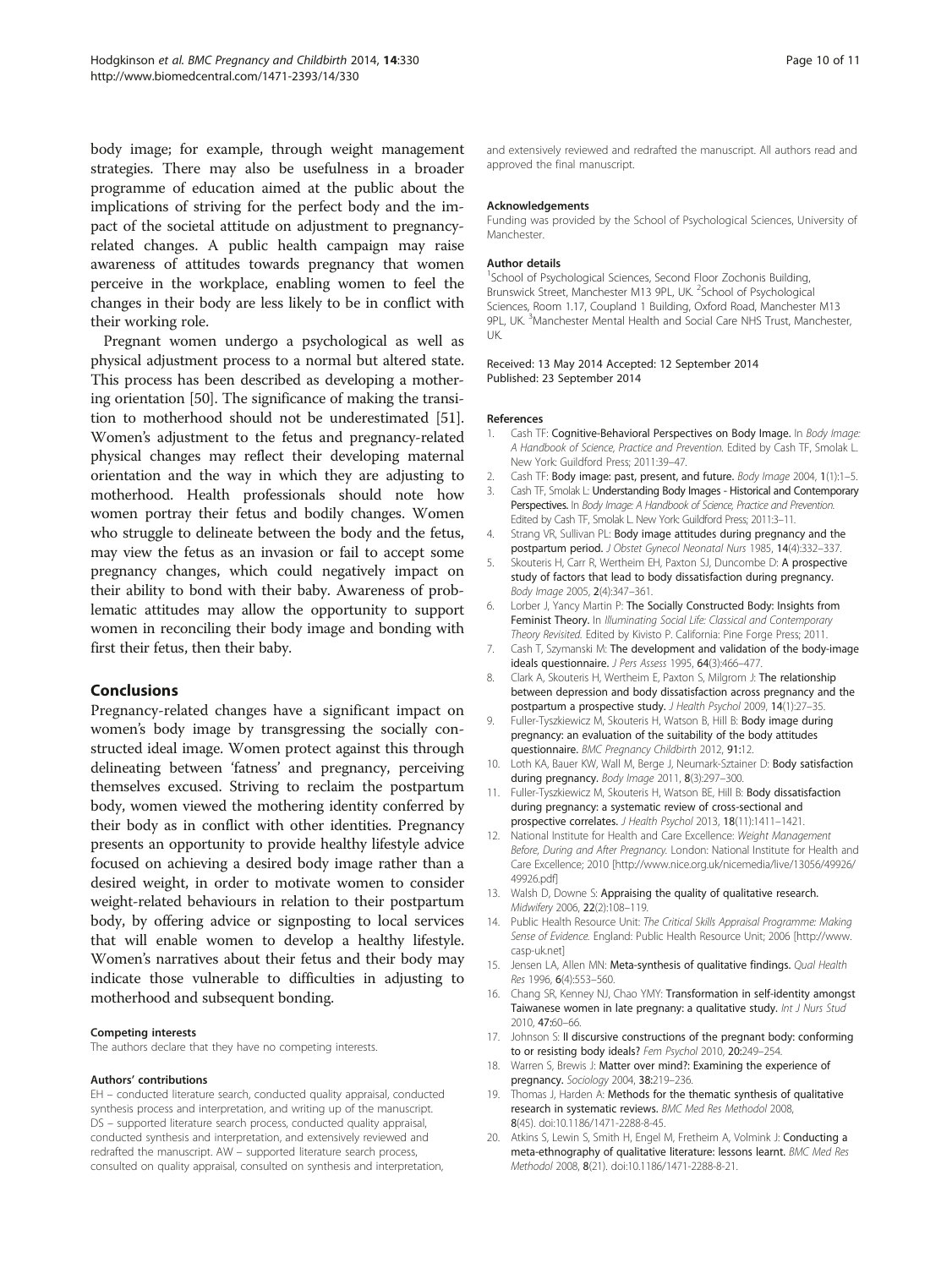<span id="page-10-0"></span>body image; for example, through weight management strategies. There may also be usefulness in a broader programme of education aimed at the public about the implications of striving for the perfect body and the impact of the societal attitude on adjustment to pregnancyrelated changes. A public health campaign may raise awareness of attitudes towards pregnancy that women perceive in the workplace, enabling women to feel the changes in their body are less likely to be in conflict with their working role.

Pregnant women undergo a psychological as well as physical adjustment process to a normal but altered state. This process has been described as developing a mothering orientation [\[50](#page-11-0)]. The significance of making the transition to motherhood should not be underestimated [[51](#page-11-0)]. Women's adjustment to the fetus and pregnancy-related physical changes may reflect their developing maternal orientation and the way in which they are adjusting to motherhood. Health professionals should note how women portray their fetus and bodily changes. Women who struggle to delineate between the body and the fetus, may view the fetus as an invasion or fail to accept some pregnancy changes, which could negatively impact on their ability to bond with their baby. Awareness of problematic attitudes may allow the opportunity to support women in reconciling their body image and bonding with first their fetus, then their baby.

#### **Conclusions**

Pregnancy-related changes have a significant impact on women's body image by transgressing the socially constructed ideal image. Women protect against this through delineating between 'fatness' and pregnancy, perceiving themselves excused. Striving to reclaim the postpartum body, women viewed the mothering identity conferred by their body as in conflict with other identities. Pregnancy presents an opportunity to provide healthy lifestyle advice focused on achieving a desired body image rather than a desired weight, in order to motivate women to consider weight-related behaviours in relation to their postpartum body, by offering advice or signposting to local services that will enable women to develop a healthy lifestyle. Women's narratives about their fetus and their body may indicate those vulnerable to difficulties in adjusting to motherhood and subsequent bonding.

#### Competing interests

The authors declare that they have no competing interests.

#### Authors' contributions

EH – conducted literature search, conducted quality appraisal, conducted synthesis process and interpretation, and writing up of the manuscript. DS – supported literature search process, conducted quality appraisal, conducted synthesis and interpretation, and extensively reviewed and redrafted the manuscript. AW – supported literature search process, consulted on quality appraisal, consulted on synthesis and interpretation,

and extensively reviewed and redrafted the manuscript. All authors read and approved the final manuscript.

#### Acknowledgements

Funding was provided by the School of Psychological Sciences, University of Manchester.

#### Author details

<sup>1</sup>School of Psychological Sciences, Second Floor Zochonis Building, Brunswick Street, Manchester M13 9PL, UK. <sup>2</sup>School of Psychological Sciences, Room 1.17, Coupland 1 Building, Oxford Road, Manchester M13 9PL, UK. <sup>3</sup>Manchester Mental Health and Social Care NHS Trust, Manchester, UK.

#### Received: 13 May 2014 Accepted: 12 September 2014 Published: 23 September 2014

#### References

- 1. Cash TF: Cognitive-Behavioral Perspectives on Body Image. In Body Image: A Handbook of Science, Practice and Prevention. Edited by Cash TF, Smolak L. New York: Guildford Press; 2011:39–47.
- 2. Cash TF: Body image: past, present, and future. Body Image 2004, 1(1):1-5.
- 3. Cash TF, Smolak L: Understanding Body Images Historical and Contemporary Perspectives. In Body Image: A Handbook of Science, Practice and Prevention. Edited by Cash TF, Smolak L. New York: Guildford Press; 2011:3–11.
- 4. Strang VR, Sullivan PL: Body image attitudes during pregnancy and the postpartum period. J Obstet Gynecol Neonatal Nurs 1985, 14(4):332–337.
- 5. Skouteris H, Carr R, Wertheim EH, Paxton SJ, Duncombe D: A prospective study of factors that lead to body dissatisfaction during pregnancy. Body Image 2005, 2(4):347–361.
- 6. Lorber J, Yancy Martin P: The Socially Constructed Body: Insights from Feminist Theory. In Illuminating Social Life: Classical and Contemporary Theory Revisited. Edited by Kivisto P. California: Pine Forge Press; 2011.
- 7. Cash T, Szymanski M: The development and validation of the body-image ideals questionnaire. J Pers Assess 1995, 64(3):466–477.
- 8. Clark A, Skouteris H, Wertheim E, Paxton S, Milgrom J: The relationship between depression and body dissatisfaction across pregnancy and the postpartum a prospective study. J Health Psychol 2009, 14(1):27–35.
- 9. Fuller-Tyszkiewicz M, Skouteris H, Watson B, Hill B: Body image during pregnancy: an evaluation of the suitability of the body attitudes questionnaire. BMC Pregnancy Childbirth 2012, 91:12.
- 10. Loth KA, Bauer KW, Wall M, Berge J, Neumark-Sztainer D: Body satisfaction during pregnancy. Body Image 2011, 8(3):297-300.
- 11. Fuller-Tyszkiewicz M, Skouteris H, Watson BE, Hill B: Body dissatisfaction during pregnancy: a systematic review of cross-sectional and prospective correlates. J Health Psychol 2013, 18(11):1411–1421.
- 12. National Institute for Health and Care Excellence: Weight Management Before, During and After Pregnancy. London: National Institute for Health and Care Excellence; 2010 [\[http://www.nice.org.uk/nicemedia/live/13056/49926/](http://www.nice.org.uk/nicemedia/live/13056/49926/49926.pdf) [49926.pdf\]](http://www.nice.org.uk/nicemedia/live/13056/49926/49926.pdf)
- 13. Walsh D, Downe S: Appraising the quality of qualitative research. Midwifery 2006, 22(2):108–119.
- 14. Public Health Resource Unit: The Critical Skills Appraisal Programme: Making Sense of Evidence. England: Public Health Resource Unit; 2006 [[http://www.](http://www.casp-uk.net) [casp-uk.net\]](http://www.casp-uk.net)
- 15. Jensen LA, Allen MN: Meta-synthesis of qualitative findings. Qual Health Res 1996, 6(4):553–560.
- 16. Chang SR, Kenney NJ, Chao YMY: Transformation in self-identity amongst Taiwanese women in late pregnany: a qualitative study. Int J Nurs Stud 2010, 47:60–66.
- 17. Johnson S: II discursive constructions of the pregnant body: conforming to or resisting body ideals? Fem Psychol 2010, 20:249–254.
- 18. Warren S, Brewis J: Matter over mind?: Examining the experience of pregnancy. Sociology 2004, 38:219–236.
- 19. Thomas J, Harden A: Methods for the thematic synthesis of qualitative research in systematic reviews. BMC Med Res Methodol 2008, 8(45). doi:10.1186/1471-2288-8-45.
- 20. Atkins S, Lewin S, Smith H, Engel M, Fretheim A, Volmink J: Conducting a meta-ethnography of qualitative literature: lessons learnt. BMC Med Res Methodol 2008, 8(21). doi:10.1186/1471-2288-8-21.